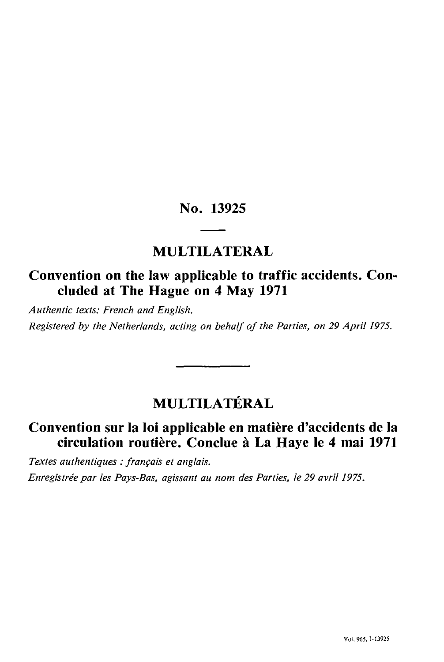## No. 13925

## **MULTILATERAL**

### **Convention on the law applicable to traffic accidents. Con cluded at The Hague on 4 May 1971**

*Authentic texts: French and English. Registered by the Netherlands, acting on behalf of the Parties, on 29 April 1975.*

# **MULTILATÉRAL**

### **Convention sur la loi applicable en matière d'accidents de la circulation routière. Conclue à La Haye le 4 mai 1971**

*Textes authentiques : français et anglais. Enregistrée par les Pays-Bas, agissant au nom des Parties, le 29 avril 1975.*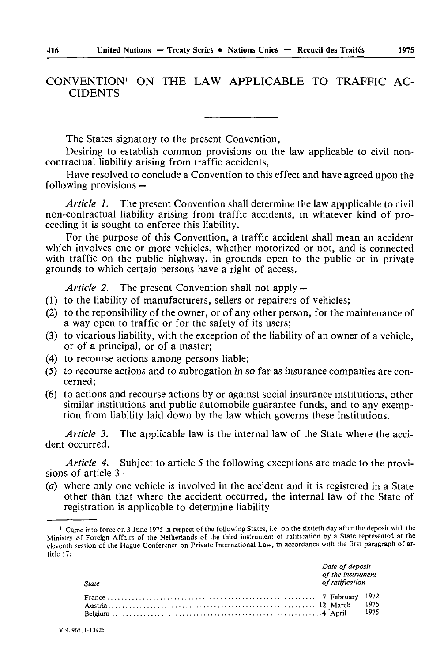#### CONVENTION1 ON THE LAW APPLICABLE TO TRAFFIC AC CIDENTS

The States signatory to the present Convention,

Desiring to establish common provisions on the law applicable to civil non contractual liability arising from traffic accidents,

Have resolved to conclude a Convention to this effect and have agreed upon the following provisions –

*Article 1.* The present Convention shall determine the law appplicable to civil non-contractual liability arising from traffic accidents, in whatever kind of pro ceeding it is sought to enforce this liability.

For the purpose of this Convention, a traffic accident shall mean an accident which involves one or more vehicles, whether motorized or not, and is connected with traffic on the public highway, in grounds open to the public or in private grounds to which certain persons have a right of access.

*Article 2.* The present Convention shall not apply

- (1) to the liability of manufacturers, sellers or repairers of vehicles;
- (2) to the reponsibility of the owner, or of any other person, for the maintenance of a way open to traffic or for the safety of its users;
- $(3)$  to vicarious liability, with the exception of the liability of an owner of a vehicle. or of a principal, or of a master;
- (4) to recourse actions among persons liable;
- (5) to recourse actions and to subrogation in so far as insurance companies are con cerned;
- (6) to actions and recourse actions by or against social insurance institutions, other similar institutions and public automobile guarantee funds, and to any exemp tion from liability laid down by the law which governs these institutions.

*Article 3.* The applicable law is the internal law of the State where the acci dent occurred.

*Article 4.* Subject to article 5 the following exceptions are made to the provi sions of article  $3-$ 

*(a)* where only one vehicle is involved in the accident and it is registered in a State other than that where the accident occurred, the internal law of the State of registration is applicable to determine liability

<sup>1</sup> Came into force on 3 June 1975 in respect of the following States, i.e. on the sixtieth day after the deposit with the Ministry of Foreign Affairs of the Netherlands of the third instrument of ratification by a State represented at the eleventh session of the Hague Conference on Private International Law, in accordance with the first paragraph of ar ticle 17:

| <b>State</b> | Date of deposit<br>of the instrument<br>of ratification |              |
|--------------|---------------------------------------------------------|--------------|
|              |                                                         | 1975<br>1975 |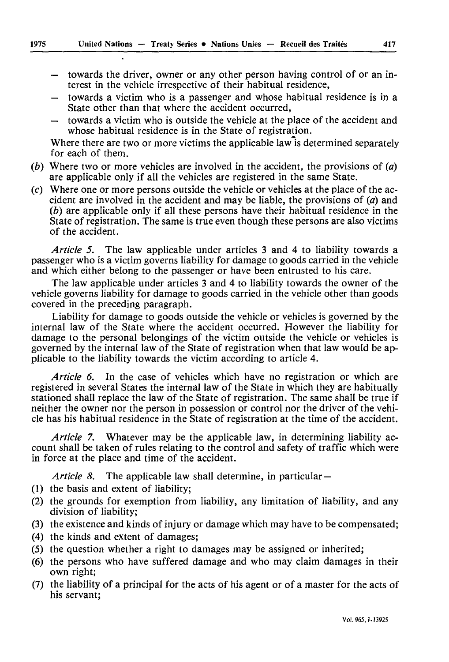- $-$  towards the driver, owner or any other person having control of or an interest in the vehicle irrespective of their habitual residence,
- towards a victim who is a passenger and whose habitual residence is in a State other than that where the accident occurred,
- towards a victim who is outside the vehicle at the place of the accident and whose habitual residence is in the State of registration.

Where there are two or more victims the applicable law is determined separately for each of them.

- (6) Where two or more vehicles are involved in the accident, the provisions of *(a)*  are applicable only if all the vehicles are registered in the same State.
- $(c)$  Where one or more persons outside the vehicle or vehicles at the place of the accident are involved in the accident and may be liable, the provisions of  $(a)$  and *(b)* are applicable only if all these persons have their habitual residence in the State of registration. The same is true even though these persons are also victims of the accident.

*Article 5.* The law applicable under articles 3 and 4 to liability towards a passenger who is a victim governs liability for damage to goods carried in the vehicle and which either belong to the passenger or have been entrusted to his care.

The law applicable under articles 3 and 4 to liability towards the owner of the vehicle governs liability for damage to goods carried in the vehicle other than goods covered in the preceding paragraph.

Liability for damage to goods outside the vehicle or vehicles is governed by the internal law of the State where the accident occurred. However the liability for damage to the personal belongings of the victim outside the vehicle or vehicles is governed by the internal law of the State of registration when that law would be ap plicable to the liability towards the victim according to article 4.

*Article 6.* In the case of vehicles which have no registration or which are registered in several States the internal law of the State in which they are habitually stationed shall replace the law of the State of registration. The same shall be true if neither the owner nor the person in possession or control nor the driver of the vehi cle has his habitual residence in the State of registration at the time of the accident.

*Article 7.* Whatever may be the applicable law, in determining liability ac count shall be taken of rules relating to the control and safety of traffic which were in force at the place and time of the accident.

*Article 8.* The applicable law shall determine, in particular

- (1) the basis and extent of liability;
- (2) the grounds for exemption from liability, any limitation of liability, and any division of liability;
- (3) the existence and kinds of injury or damage which may have to be compensated;
- (4) the kinds and extent of damages;
- (5) the question whether a right to damages may be assigned or inherited;
- (6) the persons who have suffered damage and who may claim damages in their own right;
- (7) the liability of a principal for the acts of his agent or of a master for the acts of his servant;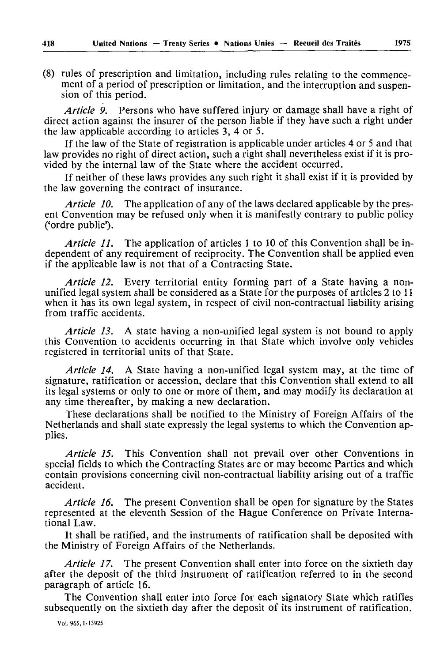(8) rules of prescription and limitation, including rules relating to the commence ment of a period of prescription or limitation, and the interruption and suspen sion of this period.

*Article 9.* Persons who have suffered injury or damage shall have a right of direct action against the insurer of the person liable if they have such a right under the law applicable according to articles 3, 4 or 5.

If the law of the State of registration is applicable under articles 4 or 5 and that law provides no right of direct action, such a right shall nevertheless exist if it is pro vided by the internal law of the State where the accident occurred.

If neither of these laws provides any such right it shall exist if it is provided by the law governing the contract of insurance.

*Article 10.* The application of any of the laws declared applicable by the pres ent Convention may be refused only when it is manifestly contrary to public policy ('ordre public').

*Article 11.* The application of articles 1 to 10 of this Convention shall be in dependent of any requirement of reciprocity. The Convention shall be applied even if the applicable law is not that of a Contracting State.

*Article 12.* Every territorial entity forming part of a State having a nonunified legal system shall be considered as a State for the purposes of articles 2 to 11 when it has its own legal system, in respect of civil non-contractual liability arising from traffic accidents.

*Article 13.* A state having a non-unified legal system is not bound to apply this Convention to accidents occurring in that State which involve only vehicles registered in territorial units of that State.

*Article 14.* A State having a non-unified legal system may, at the time of signature, ratification or accession, declare that this Convention shall extend to all its legal systems or only to one or more of them, and may modify its declaration at any time thereafter, by making a new declaration.

These declarations shall be notified to the Ministry of Foreign Affairs of the Netherlands and shall state expressly the legal systems to which the Convention ap plies.

*Article 15.* This Convention shall not prevail over other Conventions in special fields to which the Contracting States are or may become Parties and which contain provisions concerning civil non-contractual liability arising out of a traffic accident.

*Article 16.* The present Convention shall be open for signature by the States represented at the eleventh Session of the Hague Conference on Private Interna tional Law.

It shall be ratified, and the instruments of ratification shall be deposited with the Ministry of Foreign Affairs of the Netherlands.

*Article 17.* The present Convention shall enter into force on the sixtieth day after the deposit of the third instrument of ratification referred to in the second paragraph of article 16.

The Convention shall enter into force for each signatory State which ratifies subsequently on the sixtieth day after the deposit of its instrument of ratification.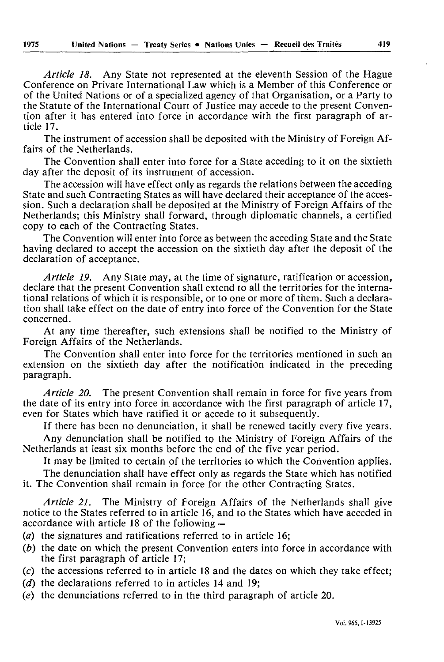*Article 18.* Any State not represented at the eleventh Session of the Hague Conference on Private International Law which is a Member of this Conference or of the United Nations or of a specialized agency of that Organisation, or a Party to the Statute of the International Court of Justice may accede to the present Conven tion after it has entered into force in accordance with the first paragraph of ar ticle 17.

The instrument of accession shall be deposited with the Ministry of Foreign Af fairs of the Netherlands.

The Convention shall enter into force for a State acceding to it on the sixtieth day after the deposit of its instrument of accession.

The accession will have effect only as regards the relations between the acceding State and such Contracting States as will have declared their acceptance of the acces sion. Such a declaration shall be deposited at the Ministry of Foreign Affairs of the Netherlands; this Ministry shall forward, through diplomatic channels, a certified copy to each of the Contracting States.

The Convention will enter into force as between the acceding State and the State having declared to accept the accession on the sixtieth day after the deposit of the declaration of acceptance.

*Article 19.* Any State may, at the time of signature, ratification or accession, declare that the present Convention shall extend to all the territories for the interna tional relations of which it is responsible, or to one or more of them. Such a declara tion shall take effect on the date of entry into force of the Convention for the State concerned.

At any time thereafter, such extensions shall be notified to the Ministry of Foreign Affairs of the Netherlands.

The Convention shall enter into force for the territories mentioned in such an extension on the sixtieth day after the notification indicated in the preceding paragraph.

*Article 20.* The present Convention shall remain in force for five years from the date of its entry into force in accordance with the first paragraph of article 17, even for States which have ratified it or accede to it subsequently.

If there has been no denunciation, it shall be renewed tacitly every five years. Any denunciation shall be notified to the Ministry of Foreign Affairs of the Netherlands at least six months before the end of the five year period.

It may be limited to certain of the territories to which the Convention applies.

The denunciation shall have effect only as regards the State which has notified it. The Convention shall remain in force for the other Contracting States.

*Article 21.* The Ministry of Foreign Affairs of the Netherlands shall give notice to the States referred to in article 16, and to the States which have acceded in accordance with article 18 of the following

- *(a)* the signatures and ratifications referred to in article 16;
- *(b)* the date on which the present Convention enters into force in accordance with the first paragraph of article 17;
- *(c)* the accessions referred to in article 18 and the dates on which they take effect;
- *(d)* the declarations referred to in articles 14 and 19;
- *(e)* the denunciations referred to in the third paragraph of article 20.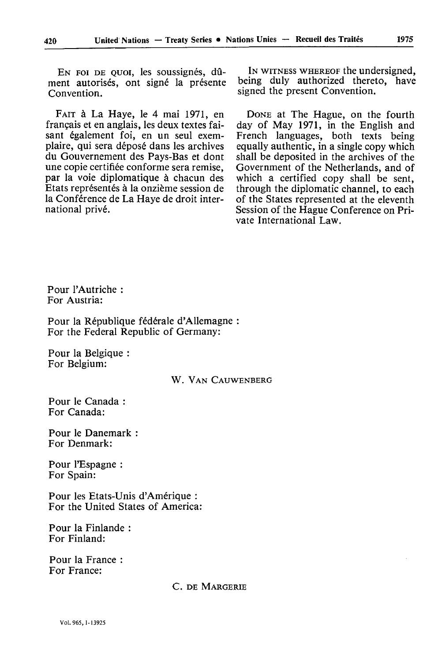EN FOI DE QUOI, les soussignés, dûment autorisés, ont signé la présente Convention.

FAIT à La Haye, le 4 mai 1971, en français et en anglais, les deux textes fai sant également foi, en un seul exem plaire, qui sera déposé dans les archives du Gouvernement des Pays-Bas et dont une copie certifiée conforme sera remise, par la voie diplomatique à chacun des Etats représentés à la onzième session de la Conférence de La Haye de droit inter national privé.

IN WITNESS WHEREOF the undersigned, being duly authorized thereto, have signed the present Convention.

DONE at The Hague, on the fourth day of May 1971, in the English and French languages, both texts being equally authentic, in a single copy which shall be deposited in the archives of the Government of the Netherlands, and of which a certified copy shall be sent, through the diplomatic channel, to each of the States represented at the eleventh Session of the Hague Conference on Pri vate International Law.

Pour l'Autriche : For Austria:

Pour la République fédérale d'Allemagne : For the Federal Republic of Germany:

Pour la Belgique : For Belgium:

#### W. VAN CAUWENBERG

Pour le Canada : For Canada:

Pour le Danemark : For Denmark:

Pour l'Espagne : For Spain:

Pour les Etats-Unis d'Amérique : For the United States of America:

Pour la Finlande : For Finland:

Pour la France : For France:

#### C. DE MARGERIE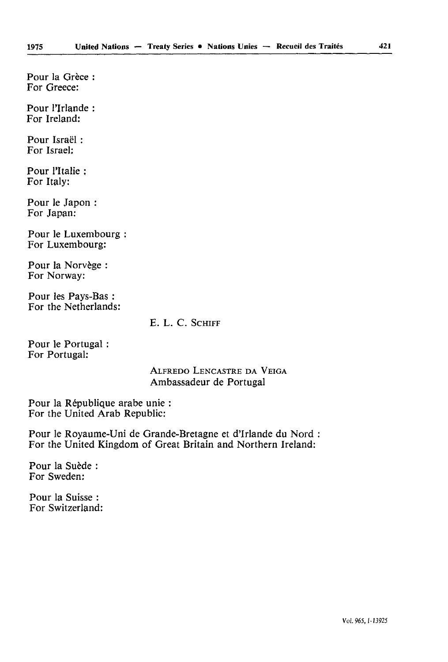Pour la Grèce : For Greece:

Pour l'Irlande : For Ireland:

Pour Israël : For Israël;

Pour l'Italie ; For Italy:

Pour le Japon : For Japan:

Pour le Luxembourg For Luxembourg:

Pour la Norvège : For Norway:

Pour les Pays-Bas : For the Netherlands:

E. L. C. SCHIFF

Pour le Portugal : For Portugal:

> ALFREDO LENCASTRE DA VEIGA Ambassadeur de Portugal

Pour la République arabe unie : For thé United Arab Republic:

Pour le Royaume-Uni de Grande-Bretagne et d'Irlande du Nord For thé United Kingdom of Great Britain and Northern Ireland:

Pour la Suède : For Sweden:

Pour la Suisse : For Switzerland: